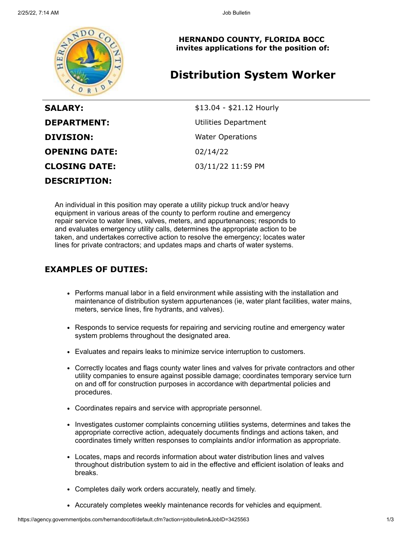

**HERNANDO COUNTY, FLORIDA BOCC invites applications for the position of:**

# **Distribution System Worker**

| <b>SALARY:</b>       | \$13.04 - \$21.12 Hourly |
|----------------------|--------------------------|
| <b>DEPARTMENT:</b>   | Utilities Department     |
| <b>DIVISION:</b>     | <b>Water Operations</b>  |
| <b>OPENING DATE:</b> | 02/14/22                 |
| <b>CLOSING DATE:</b> | 03/11/22 11:59 PM        |
| <b>DESCRIPTION:</b>  |                          |

An individual in this position may operate a utility pickup truck and/or heavy equipment in various areas of the county to perform routine and emergency repair service to water lines, valves, meters, and appurtenances; responds to and evaluates emergency utility calls, determines the appropriate action to be taken, and undertakes corrective action to resolve the emergency; locates water lines for private contractors; and updates maps and charts of water systems.

### **EXAMPLES OF DUTIES:**

- Performs manual labor in a field environment while assisting with the installation and maintenance of distribution system appurtenances (ie, water plant facilities, water mains, meters, service lines, fire hydrants, and valves).
- Responds to service requests for repairing and servicing routine and emergency water system problems throughout the designated area.
- Evaluates and repairs leaks to minimize service interruption to customers.
- Correctly locates and flags county water lines and valves for private contractors and other utility companies to ensure against possible damage; coordinates temporary service turn on and off for construction purposes in accordance with departmental policies and procedures.
- Coordinates repairs and service with appropriate personnel.
- Investigates customer complaints concerning utilities systems, determines and takes the appropriate corrective action, adequately documents findings and actions taken, and coordinates timely written responses to complaints and/or information as appropriate.
- Locates, maps and records information about water distribution lines and valves throughout distribution system to aid in the effective and efficient isolation of leaks and breaks.
- Completes daily work orders accurately, neatly and timely.
- Accurately completes weekly maintenance records for vehicles and equipment.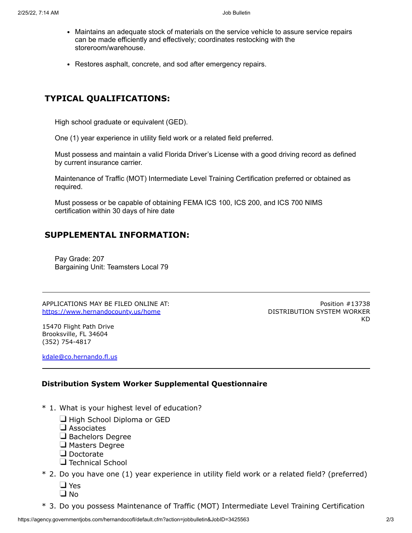- Maintains an adequate stock of materials on the service vehicle to assure service repairs can be made efficiently and effectively; coordinates restocking with the storeroom/warehouse.
- Restores asphalt, concrete, and sod after emergency repairs.

## **TYPICAL QUALIFICATIONS:**

High school graduate or equivalent (GED).

One (1) year experience in utility field work or a related field preferred.

Must possess and maintain a valid Florida Driver's License with a good driving record as defined by current insurance carrier.

Maintenance of Traffic (MOT) Intermediate Level Training Certification preferred or obtained as required.

Must possess or be capable of obtaining FEMA ICS 100, ICS 200, and ICS 700 NIMS certification within 30 days of hire date

#### **SUPPLEMENTAL INFORMATION:**

Pay Grade: 207 Bargaining Unit: Teamsters Local 79

APPLICATIONS MAY BE FILED ONLINE AT: <https://www.hernandocounty.us/home>

15470 Flight Path Drive Brooksville, FL 34604 (352) 754-4817

[kdale@co.hernando.fl.us](mailto:kdale@co.hernando.fl.us)

Position #13738 DISTRIBUTION SYSTEM WORKER KD

#### **Distribution System Worker Supplemental Questionnaire**

- \* 1. What is your highest level of education?
	- $\Box$  High School Diploma or GED
	- $\Box$  Associates
	- $\Box$  Bachelors Degree
	- **H** Masters Degree
	- Doctorate
	- $\Box$  Technical School
- \* 2. Do you have one (1) year experience in utility field work or a related field? (preferred) □ Yes
	- $\square$  No
- \* 3. Do you possess Maintenance of Traffic (MOT) Intermediate Level Training Certification